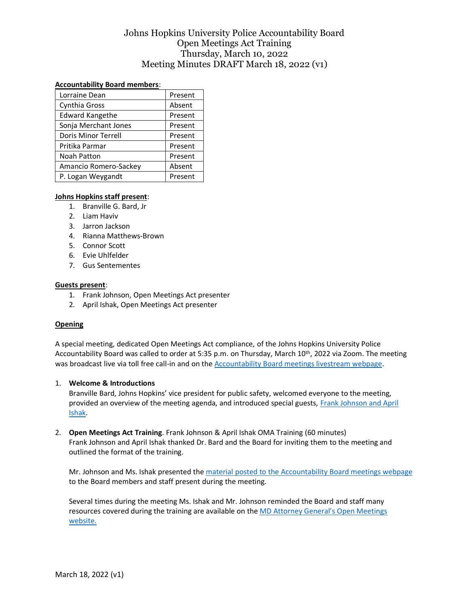## Johns Hopkins University Police Accountability Board Open Meetings Act Training Thursday, March 10, 2022 Meeting Minutes DRAFT March 18, 2022 (v1)

## **Accountability Board members**:

| Lorraine Dean              | Present |  |
|----------------------------|---------|--|
| Cynthia Gross              | Absent  |  |
| <b>Edward Kangethe</b>     | Present |  |
| Sonja Merchant Jones       | Present |  |
| <b>Doris Minor Terrell</b> | Present |  |
| Pritika Parmar             | Present |  |
| Noah Patton                | Present |  |
| Amancio Romero-Sackey      | Absent  |  |
| P. Logan Weygandt          | Present |  |

## **Johns Hopkins staff present**:

- 1. Branville G. Bard, Jr
- 2. Liam Haviv
- 3. Jarron Jackson
- 4. Rianna Matthews-Brown
- 5. Connor Scott
- 6. Evie Uhlfelder
- 7. Gus Sentementes

#### **Guests present**:

- 1. Frank Johnson, Open Meetings Act presenter
- 2. April Ishak, Open Meetings Act presenter

## **Opening**

A special meeting, dedicated Open Meetings Act compliance, of the Johns Hopkins University Police Accountability Board was called to order at 5:35 p.m. on Thursday, March 10<sup>th</sup>, 2022 via Zoom. The meeting was broadcast live via toll free call-in and on th[e Accountability Board meetings livestream webpage.](https://publicsafety.jhu.edu/jhpd-information/accountability-board/meetings/)

#### 1. **Welcome & Introductions**

Branville Bard, Johns Hopkins' vice president for public safety, welcomed everyone to the meeting, provided an overview of the meeting agenda, and introduced special guests, Frank Johnson and April [Ishak.](https://publicsafety.jhu.edu/assets/uploads/sites/9/2022/02/OMA-Trainer-Bios-02.24.2022.pdf)

2. **Open Meetings Act Training**. Frank Johnson & April Ishak OMA Training (60 minutes) Frank Johnson and April Ishak thanked Dr. Bard and the Board for inviting them to the meeting and outlined the format of the training.

Mr. Johnson and Ms. Ishak presented th[e material posted to the Accountability Board meetings webpage](https://publicsafety.jhu.edu/assets/uploads/sites/9/2022/03/OMA-POWERPOINT-03.10.2022-v2.pdf) to the Board members and staff present during the meeting.

Several times during the meeting Ms. Ishak and Mr. Johnson reminded the Board and staff many resources covered during the training are available on the [MD Attorney General's Open Meetings](https://www.marylandattorneygeneral.gov/Pages/OpenGov/Openmeetings/default.aspx)  [website.](https://www.marylandattorneygeneral.gov/Pages/OpenGov/Openmeetings/default.aspx)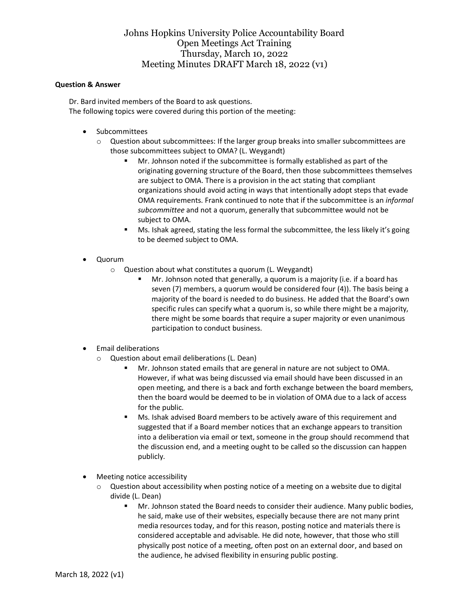## Johns Hopkins University Police Accountability Board Open Meetings Act Training Thursday, March 10, 2022 Meeting Minutes DRAFT March 18, 2022 (v1)

#### **Question & Answer**

Dr. Bard invited members of the Board to ask questions. The following topics were covered during this portion of the meeting:

- Subcommittees
	- $\circ$  Question about subcommittees: If the larger group breaks into smaller subcommittees are those subcommittees subject to OMA? (L. Weygandt)
		- Mr. Johnson noted if the subcommittee is formally established as part of the originating governing structure of the Board, then those subcommittees themselves are subject to OMA. There is a provision in the act stating that compliant organizations should avoid acting in ways that intentionally adopt steps that evade OMA requirements. Frank continued to note that if the subcommittee is an *informal subcommittee* and not a quorum, generally that subcommittee would not be subject to OMA.
		- Ms. Ishak agreed, stating the less formal the subcommittee, the less likely it's going to be deemed subject to OMA.
- Quorum
	- o Question about what constitutes a quorum (L. Weygandt)
		- Mr. Johnson noted that generally, a quorum is a majority (i.e. if a board has seven (7) members, a quorum would be considered four (4)). The basis being a majority of the board is needed to do business. He added that the Board's own specific rules can specify what a quorum is, so while there might be a majority, there might be some boards that require a super majority or even unanimous participation to conduct business.
- Email deliberations
	- o Question about email deliberations (L. Dean)
		- Mr. Johnson stated emails that are general in nature are not subject to OMA. However, if what was being discussed via email should have been discussed in an open meeting, and there is a back and forth exchange between the board members, then the board would be deemed to be in violation of OMA due to a lack of access for the public.
		- Ms. Ishak advised Board members to be actively aware of this requirement and suggested that if a Board member notices that an exchange appears to transition into a deliberation via email or text, someone in the group should recommend that the discussion end, and a meeting ought to be called so the discussion can happen publicly.
- Meeting notice accessibility
	- o Question about accessibility when posting notice of a meeting on a website due to digital divide (L. Dean)
		- Mr. Johnson stated the Board needs to consider their audience. Many public bodies, he said, make use of their websites, especially because there are not many print media resources today, and for this reason, posting notice and materials there is considered acceptable and advisable. He did note, however, that those who still physically post notice of a meeting, often post on an external door, and based on the audience, he advised flexibility in ensuring public posting.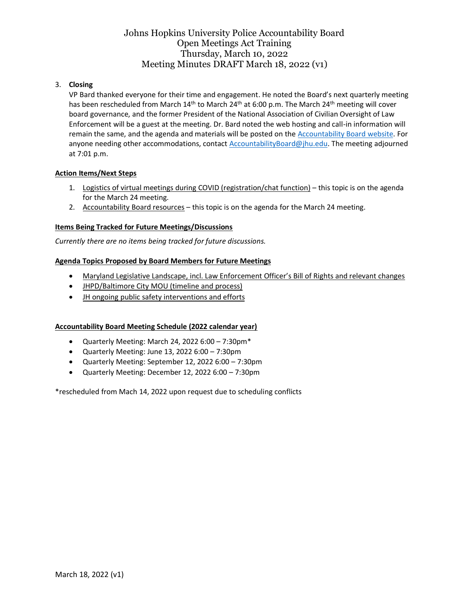## Johns Hopkins University Police Accountability Board Open Meetings Act Training Thursday, March 10, 2022 Meeting Minutes DRAFT March 18, 2022 (v1)

## 3. **Closing**

VP Bard thanked everyone for their time and engagement. He noted the Board's next quarterly meeting has been rescheduled from March 14<sup>th</sup> to March 24<sup>th</sup> at 6:00 p.m. The March 24<sup>th</sup> meeting will cover board governance, and the former President of the National Association of Civilian Oversight of Law Enforcement will be a guest at the meeting. Dr. Bard noted the web hosting and call-in information will remain the same, and the agenda and materials will be posted on th[e Accountability Board website.](https://publicsafety.jhu.edu/jhpd-information/accountability-board/meetings/) For anyone needing other accommodations, contact [AccountabilityBoard@jhu.edu.](mailto:AccountabilityBoard@jhu.edu) The meeting adjourned at 7:01 p.m.

## **Action Items/Next Steps**

- 1. Logistics of virtual meetings during COVID (registration/chat function) this topic is on the agenda for the March 24 meeting.
- 2. Accountability Board resources this topic is on the agenda for the March 24 meeting.

## **Items Being Tracked for Future Meetings/Discussions**

*Currently there are no items being tracked for future discussions.*

## **Agenda Topics Proposed by Board Members for Future Meetings**

- Maryland Legislative Landscape, incl. Law Enforcement Officer's Bill of Rights and relevant changes
- JHPD/Baltimore City MOU (timeline and process)
- JH ongoing public safety interventions and efforts

## **Accountability Board Meeting Schedule (2022 calendar year)**

- Quarterly Meeting: March 24, 2022 6:00 7:30pm\*
- Quarterly Meeting: June 13, 2022 6:00 7:30pm
- Quarterly Meeting: September 12, 2022 6:00 7:30pm
- Quarterly Meeting: December 12, 2022 6:00 7:30pm

\*rescheduled from Mach 14, 2022 upon request due to scheduling conflicts